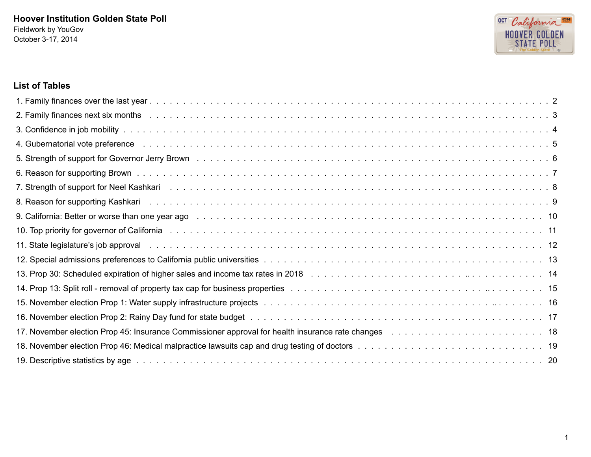Fieldwork by YouGov October 3-17, 2014



# **List of Tables**

| 2. Family finances next six months entitled by contact the control of the control of the control of the control of the control of the control of the control of the control of the control of the control of the control of th |
|--------------------------------------------------------------------------------------------------------------------------------------------------------------------------------------------------------------------------------|
|                                                                                                                                                                                                                                |
| 4. Gubernatorial vote preference enterpresentative and the contract of the contract of the contract of the contract of the contract of the contract of the contract of the contract of the contract of the contract of the con |
|                                                                                                                                                                                                                                |
|                                                                                                                                                                                                                                |
|                                                                                                                                                                                                                                |
|                                                                                                                                                                                                                                |
| 9. California: Better or worse than one year ago readed as a contract or a contract or a contract or a contract or and the contract or a contract or and the contract or and the contract or and the contract or any californi |
|                                                                                                                                                                                                                                |
| 11. State legislature's job approval readed as a serie of the contract of the contract of the contract of the contract of the contract of the contract of the contract of the contract of the contract of the contract of the  |
|                                                                                                                                                                                                                                |
|                                                                                                                                                                                                                                |
|                                                                                                                                                                                                                                |
|                                                                                                                                                                                                                                |
|                                                                                                                                                                                                                                |
|                                                                                                                                                                                                                                |
|                                                                                                                                                                                                                                |
| 19. Descriptive statistics by age with a state of the state of the state of the state of the state of the state of the state of the state of the state of the state of the state of the state of the state of the state of the |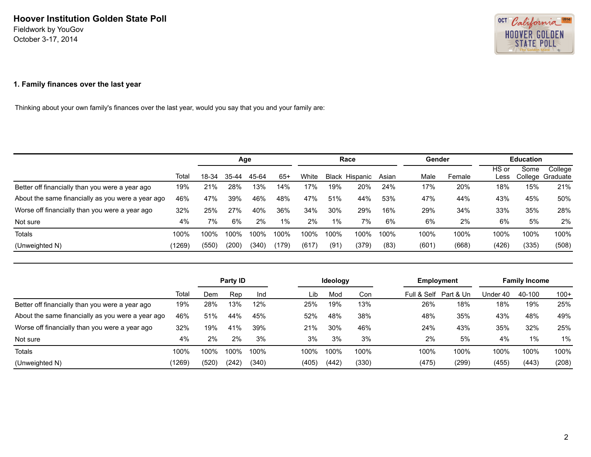

## **1. Family finances over the last year**

Thinking about your own family's finances over the last year, would you say that you and your family are:

|                                                   |        |       |       | Age   |       |       |      | Race                  |       | <b>Gender</b> |        |               | <b>Education</b> |                             |
|---------------------------------------------------|--------|-------|-------|-------|-------|-------|------|-----------------------|-------|---------------|--------|---------------|------------------|-----------------------------|
|                                                   | Total  | 18-34 | 35-44 | 45-64 | $65+$ | White |      | <b>Black Hispanic</b> | Asian | Male          | Female | HS or<br>Less | Some             | College<br>College Graduate |
| Better off financially than you were a year ago   | 19%    | 21%   | 28%   | 13%   | 14%   | 17%   | 19%  | 20%                   | 24%   | 17%           | 20%    | 18%           | 15%              | 21%                         |
| About the same financially as you were a year ago | 46%    | 47%   | 39%   | 46%   | 48%   | 47%   | 51%  | 44%                   | 53%   | 47%           | 44%    | 43%           | 45%              | 50%                         |
| Worse off financially than you were a year ago    | 32%    | 25%   | 27%   | 40%   | 36%   | 34%   | 30%  | 29%                   | 16%   | 29%           | 34%    | 33%           | 35%              | 28%                         |
| Not sure                                          | 4%     | 7%    | 6%    | $2\%$ | $1\%$ | 2%    | 1%   | 7%                    | 6%    | 6%            | 2%     | 6%            | 5%               | 2%                          |
| Totals                                            | 100%   | 100%  | 100%  | 100%  | 100%  | 100%  | 100% | 100%                  | 100%  | 100%          | 100%   | 100%          | 100%             | 100%                        |
| (Unweighted N)                                    | (1269) | (550) | (200) | (340) | (179) | (617) | (91) | (379)                 | (83)  | (601)         | (668)  | (426)         | (335)            | (508)                       |

|                                                   |        |       | Party ID |       |       | Ideology |       |       | Employment            |          | <b>Family Income</b> |        |
|---------------------------------------------------|--------|-------|----------|-------|-------|----------|-------|-------|-----------------------|----------|----------------------|--------|
|                                                   | Total  | Dem   | Rep      | Ind   | Lib   | Mod      | Con   |       | Full & Self Part & Un | Under 40 | 40-100               | $100+$ |
| Better off financially than you were a year ago   | 19%    | 28%   | 13%      | 12%   | 25%   | 19%      | 13%   | 26%   | 18%                   | 18%      | 19%                  | 25%    |
| About the same financially as you were a year ago | 46%    | 51%   | 44%      | 45%   | 52%   | 48%      | 38%   | 48%   | 35%                   | 43%      | 48%                  | 49%    |
| Worse off financially than you were a year ago    | 32%    | 19%   | 41%      | 39%   | 21%   | 30%      | 46%   | 24%   | 43%                   | 35%      | 32%                  | 25%    |
| Not sure                                          | 4%     | 2%    | 2%       | 3%    | 3%    | 3%       | 3%    | 2%    | 5%                    | 4%       | 1%                   | 1%     |
| <b>Totals</b>                                     | 100%   | 100%  | 100%     | 100%  | 100%  | 100%     | 100%  | 100%  | 100%                  | 100%     | 100%                 | 100%   |
| (Unweighted N)                                    | (1269) | (520) | 242)     | (340) | (405) | (442)    | (330) | (475) | (299)                 | (455)    | (443)                | (208)  |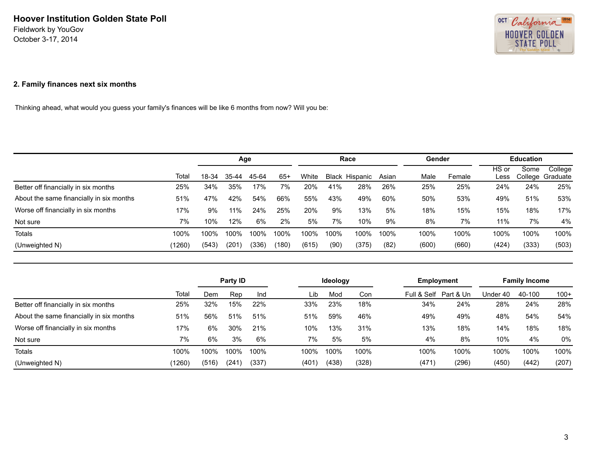

## **2. Family finances next six months**

Thinking ahead, what would you guess your family's finances will be like 6 months from now? Will you be:

|                                          |        |       | Age   |       |       |       |      | Race                  |       | <b>Gender</b> |        |               | <b>Education</b> |                             |
|------------------------------------------|--------|-------|-------|-------|-------|-------|------|-----------------------|-------|---------------|--------|---------------|------------------|-----------------------------|
|                                          | Total  | 18-34 | 35-44 | 45-64 | $65+$ | White |      | <b>Black Hispanic</b> | Asian | Male          | Female | HS or<br>Less | Some             | College<br>College Graduate |
| Better off financially in six months     | 25%    | 34%   | 35%   | 17%   | 7%    | 20%   | 41%  | 28%                   | 26%   | 25%           | 25%    | 24%           | 24%              | 25%                         |
| About the same financially in six months | 51%    | 47%   | 42%   | 54%   | 66%   | 55%   | 43%  | 49%                   | 60%   | 50%           | 53%    | 49%           | 51%              | 53%                         |
| Worse off financially in six months      | 17%    | 9%    | 11%   | 24%   | 25%   | 20%   | 9%   | 13%                   | 5%    | 18%           | 15%    | 15%           | 18%              | 17%                         |
| Not sure                                 | 7%     | 10%   | 12%   | 6%    | 2%    | 5%    | 7%   | 10%                   | 9%    | 8%            | 7%     | 11%           | 7%               | 4%                          |
| Totals                                   | 100%   | 100%  | 100%  | 100%  | 100%  | 100%  | 100% | 100%                  | 100%  | 100%          | 100%   | 100%          | 100%             | 100%                        |
| (Unweighted N)                           | (1260) | (543) | (201) | (336) | (180) | (615) | (90) | (375)                 | (82)  | (600)         | (660)  | (424)         | (333)            | (503)                       |

|                                          |        |       | Party ID |       |      | Ideology |       |      | Employment            |          | <b>Family Income</b> |        |
|------------------------------------------|--------|-------|----------|-------|------|----------|-------|------|-----------------------|----------|----------------------|--------|
|                                          | Total  | Dem   | Rep      | Ind   | Lib  | Mod      | Con   |      | Full & Self Part & Un | Under 40 | 40-100               | $100+$ |
| Better off financially in six months     | 25%    | 32%   | 15%      | 22%   | 33%  | 23%      | 18%   | 34%  | 24%                   | 28%      | 24%                  | 28%    |
| About the same financially in six months | 51%    | 56%   | 51%      | 51%   | 51%  | 59%      | 46%   | 49%  | 49%                   | 48%      | 54%                  | 54%    |
| Worse off financially in six months      | 17%    | 6%    | 30%      | 21%   | 10%  | 13%      | 31%   | 13%  | 18%                   | 14%      | 18%                  | 18%    |
| Not sure                                 | 7%     | 6%    | 3%       | 6%    | 7%   | 5%       | 5%    | 4%   | 8%                    | 10%      | 4%                   | 0%     |
| Totals                                   | 100%   | 100%  | 100%     | 100%  | 100% | 100%     | 100%  | 100% | 100%                  | 100%     | 100%                 | 100%   |
| (Unweighted N)                           | (1260) | (516) | (241)    | (337) | (401 | (438)    | (328) | (471 | (296)                 | (450)    | (442)                | (207)  |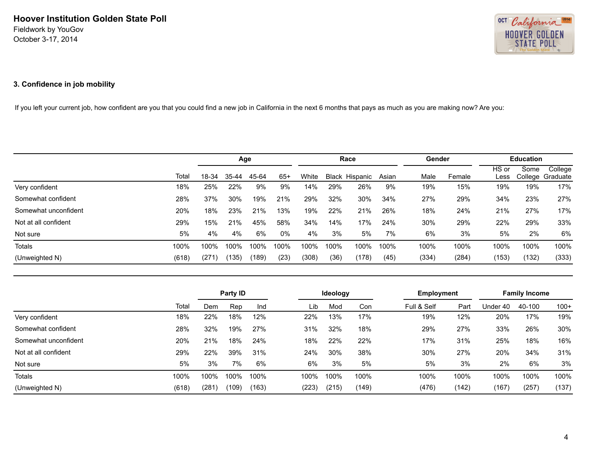

## **3. Confidence in job mobility**

If you left your current job, how confident are you that you could find a new job in California in the next 6 months that pays as much as you are making now? Are you:

|                      |       |       | Age       |       |       |       |      | Race                  |       | Gender |        |               | <b>Education</b> |                             |
|----------------------|-------|-------|-----------|-------|-------|-------|------|-----------------------|-------|--------|--------|---------------|------------------|-----------------------------|
|                      | Total | 18-34 | $35 - 44$ | 45-64 | $65+$ | White |      | <b>Black Hispanic</b> | Asian | Male   | Female | HS or<br>Less | Some             | College<br>College Graduate |
| Very confident       | 18%   | 25%   | 22%       | 9%    | 9%    | 14%   | 29%  | 26%                   | 9%    | 19%    | 15%    | 19%           | 19%              | 17%                         |
| Somewhat confident   | 28%   | 37%   | 30%       | 19%   | 21%   | 29%   | 32%  | 30%                   | 34%   | 27%    | 29%    | 34%           | 23%              | 27%                         |
| Somewhat unconfident | 20%   | 18%   | 23%       | 21%   | 13%   | 19%   | 22%  | 21%                   | 26%   | 18%    | 24%    | 21%           | 27%              | 17%                         |
| Not at all confident | 29%   | 15%   | 21%       | 45%   | 58%   | 34%   | 14%  | 17%                   | 24%   | 30%    | 29%    | 22%           | 29%              | 33%                         |
| Not sure             | 5%    | 4%    | 4%        | 6%    | 0%    | 4%    | 3%   | 5%                    | 7%    | 6%     | 3%     | 5%            | 2%               | 6%                          |
| <b>Totals</b>        | 100%  | 100%  | 100%      | 100%  | 100%  | 100%  | 100% | 100%                  | 100%  | 100%   | 100%   | 100%          | 100%             | 100%                        |
| (Unweighted N)       | (618) | (271) | 135)      | (189) | (23)  | (308) | (36) | (178)                 | (45)  | (334)  | (284)  | (153)         | (132)            | (333)                       |

|                      |       |      | Party ID |       |       | Ideology |       | <b>Employment</b> |       |          | <b>Family Income</b> |        |
|----------------------|-------|------|----------|-------|-------|----------|-------|-------------------|-------|----------|----------------------|--------|
|                      | Total | Dem  | Rep      | Ind   | Lib   | Mod      | Con   | Full & Self       | Part  | Under 40 | 40-100               | $100+$ |
| Very confident       | 18%   | 22%  | 18%      | 12%   | 22%   | 13%      | 17%   | 19%               | 12%   | 20%      | 17%                  | 19%    |
| Somewhat confident   | 28%   | 32%  | 19%      | 27%   | 31%   | 32%      | 18%   | 29%               | 27%   | 33%      | 26%                  | 30%    |
| Somewhat unconfident | 20%   | 21%  | 18%      | 24%   | 18%   | 22%      | 22%   | 17%               | 31%   | 25%      | 18%                  | 16%    |
| Not at all confident | 29%   | 22%  | 39%      | 31%   | 24%   | 30%      | 38%   | 30%               | 27%   | 20%      | 34%                  | 31%    |
| Not sure             | 5%    | 3%   | 7%       | 6%    | 6%    | 3%       | 5%    | 5%                | 3%    | 2%       | 6%                   | 3%     |
| Totals               | 100%  | 100% | 100%     | 100%  | 100%  | 100%     | 100%  | 100%              | 100%  | 100%     | 100%                 | 100%   |
| (Unweighted N)       | (618) | 281) | (109)    | (163) | (223) | (215)    | (149) | (476)             | (142) | (167)    | 257                  | (137)  |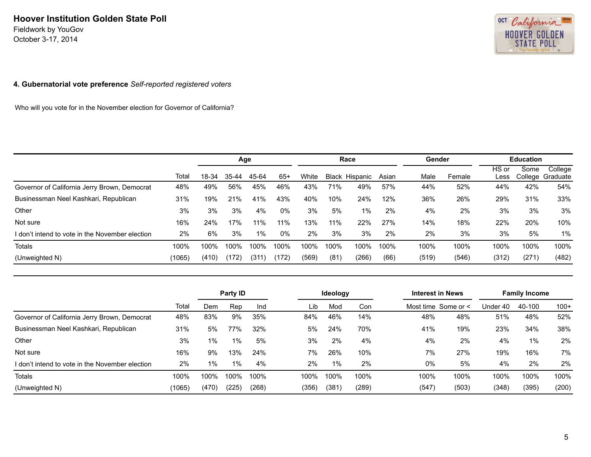

## **4. Gubernatorial vote preference** *Self-reported registered voters*

Who will you vote for in the November election for Governor of California?

|                                                 |        |       | Age   |       |       |       |      | Race                  |       | Gender |        |               | <b>Education</b> |                             |
|-------------------------------------------------|--------|-------|-------|-------|-------|-------|------|-----------------------|-------|--------|--------|---------------|------------------|-----------------------------|
|                                                 | Total  | 18-34 | 35-44 | 45-64 | $65+$ | White |      | <b>Black Hispanic</b> | Asian | Male   | Female | HS or<br>Less | Some             | College<br>College Graduate |
| Governor of California Jerry Brown, Democrat    | 48%    | 49%   | 56%   | 45%   | 46%   | 43%   | 71%  | 49%                   | 57%   | 44%    | 52%    | 44%           | 42%              | 54%                         |
| Businessman Neel Kashkari, Republican           | 31%    | 19%   | 21%   | 41%   | 43%   | 40%   | 10%  | 24%                   | 12%   | 36%    | 26%    | 29%           | 31%              | 33%                         |
| Other                                           | 3%     | 3%    | 3%    | 4%    | 0%    | 3%    | 5%   | 1%                    | 2%    | 4%     | 2%     | 3%            | 3%               | 3%                          |
| Not sure                                        | 16%    | 24%   | 17%   | 11%   | 11%   | 13%   | 11%  | 22%                   | 27%   | 14%    | 18%    | 22%           | 20%              | 10%                         |
| I don't intend to vote in the November election | 2%     | 6%    | 3%    | 1%    | 0%    | 2%    | 3%   | 3%                    | 2%    | 2%     | 3%     | 3%            | 5%               | 1%                          |
| Totals                                          | 100%   | 100%  | 100%  | 100%  | 100%  | 100%  | 100% | 100%                  | 100%  | 100%   | 100%   | 100%          | 100%             | 100%                        |
| (Unweighted N)                                  | (1065) | (410) | (172  | (311) | (172) | (569) | (81) | (266)                 | (66)  | (519)  | (546)  | (312)         | (271)            | (482)                       |

|                                                 |        |       | <b>Party ID</b> |       |       | ldeology |       | <b>Interest in News</b> |                     |          | <b>Family Income</b> |        |
|-------------------------------------------------|--------|-------|-----------------|-------|-------|----------|-------|-------------------------|---------------------|----------|----------------------|--------|
|                                                 | Total  | Dem   | Rep             | Ind   | Lib   | Mod      | Con   |                         | Most time Some or < | Under 40 | 40-100               | $100+$ |
| Governor of California Jerry Brown, Democrat    | 48%    | 83%   | 9%              | 35%   | 84%   | 46%      | 14%   | 48%                     | 48%                 | 51%      | 48%                  | 52%    |
| Businessman Neel Kashkari, Republican           | 31%    | 5%    | 77%             | 32%   | 5%    | 24%      | 70%   | 41%                     | 19%                 | 23%      | 34%                  | 38%    |
| Other                                           | 3%     | $1\%$ | 1%              | 5%    | 3%    | 2%       | 4%    | 4%                      | 2%                  | 4%       | 1%                   | 2%     |
| Not sure                                        | 16%    | 9%    | 13%             | 24%   | 7%    | 26%      | 10%   | 7%                      | 27%                 | 19%      | 16%                  | 7%     |
| I don't intend to vote in the November election | 2%     | $1\%$ | 1%              | 4%    | 2%    | 1%       | 2%    | 0%                      | 5%                  | 4%       | 2%                   | 2%     |
| Totals                                          | 100%   | 100%  | 100%            | 100%  | 100%  | 100%     | 100%  | 100%                    | 100%                | 100%     | 100%                 | 100%   |
| (Unweighted N)                                  | (1065) | (470) | (225)           | (268) | (356) | (381     | (289) | (547)                   | (503)               | (348)    | (395)                | (200)  |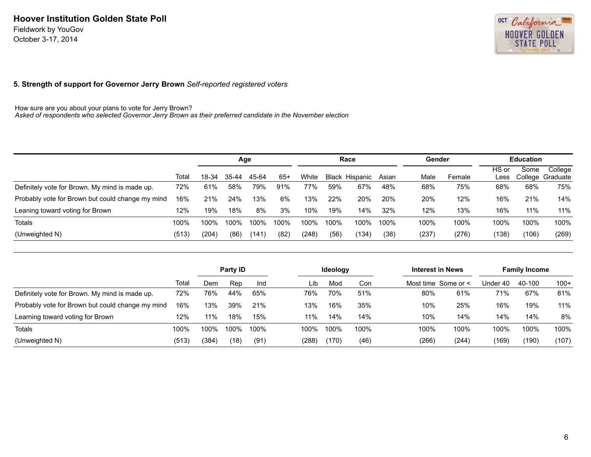Fieldwork by YouGov October 3-17, 2014



## **5. Strength of support for Governor Jerry Brown** *Self-reported registered voters*

How sure are you about your plans to vote for Jerry Brown?

*Asked of respondents who selected Governor Jerry Brown as their preferred candidate in the November election*

|                                                  |       |       | Age   |       |       |       |      | Race                  |       | Gender |        |               | <b>Education</b> |                             |
|--------------------------------------------------|-------|-------|-------|-------|-------|-------|------|-----------------------|-------|--------|--------|---------------|------------------|-----------------------------|
|                                                  | Total | 18-34 | 35-44 | 45-64 | $65+$ | White |      | <b>Black Hispanic</b> | Asian | Male   | Female | HS or<br>Less | Some             | College<br>College Graduate |
| Definitely vote for Brown. My mind is made up.   | 72%   | 61%   | 58%   | 79%   | 91%   | 77%   | 59%  | 67%                   | 48%   | 68%    | 75%    | 68%           | 68%              | 75%                         |
| Probably vote for Brown but could change my mind | 16%   | 21%   | 24%   | 13%   | 6%    | 13%   | 22%  | 20%                   | 20%   | 20%    | 12%    | 16%           | 21%              | 14%                         |
| Leaning toward voting for Brown                  | 12%   | 19%   | 18%   | 8%    | 3%    | 10%   | 19%  | 14%                   | 32%   | 12%    | 13%    | 16%           | 11%              | 11%                         |
| Totals                                           | 100%  | 100%  | 100%  | 100%  | 100%  | 100%  | 100% | 100%                  | 100%  | 100%   | 100%   | 100%          | 100%             | 100%                        |
| (Unweighted N)                                   | (513) | (204) | (86)  | (141) | (82)  | (248) | (56) | (134)                 | (38)  | (237)  | (276)  | (138)         | (106)            | (269)                       |

|                                                  |       |       | Party ID |      |       |     | <b>Ideology</b> |      |       | <b>Interest in News</b> |          | <b>Family Income</b> |        |
|--------------------------------------------------|-------|-------|----------|------|-------|-----|-----------------|------|-------|-------------------------|----------|----------------------|--------|
|                                                  | Total | Dem   | Rep      | Ind  |       | Lib | Mod             | Con  |       | Most time Some or <     | Under 40 | 40-100               | $100+$ |
| Definitely vote for Brown. My mind is made up.   | 72%   | 76%   | 44%      | 65%  |       | 76% | 70%             | 51%  | 80%   | 61%                     | 71%      | 67%                  | 81%    |
| Probably vote for Brown but could change my mind | 16%   | 13%   | 39%      | 21%  |       | 13% | 16%             | 35%  | 10%   | 25%                     | 16%      | 19%                  | 11%    |
| Learning toward voting for Brown                 | 12%   | 11%   | 18%      | 15%  |       | 11% | 14%             | 14%  | 10%   | 14%                     | 14%      | 14%                  | 8%     |
| Totals                                           | 100%  | 100%  | 100%     | 100% | 100%  |     | 100%            | 100% | 100%  | 100%                    | 100%     | 100%                 | 100%   |
| (Unweighted N)                                   | (513) | (384) | (18)     | (91) | (288) |     | (170            | (46) | (266) | (244)                   | 169)     | (190                 | (107)  |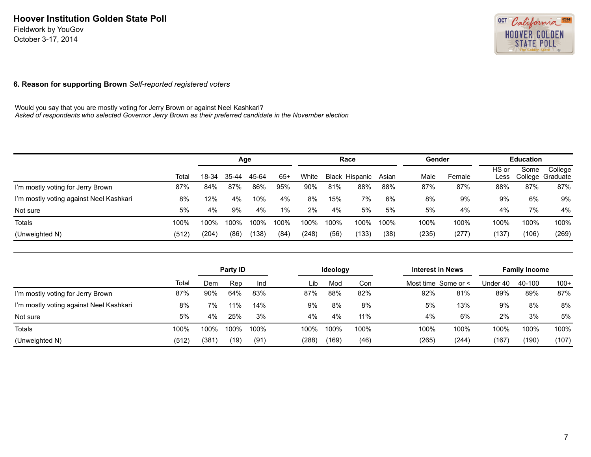

## **6. Reason for supporting Brown** *Self-reported registered voters*

Would you say that you are mostly voting for Jerry Brown or against Neel Kashkari? *Asked of respondents who selected Governor Jerry Brown as their preferred candidate in the November election*

|                                         |       |       | Age   |       |       |       |      | Race                  |       | <b>Gender</b> |        |               | <b>Education</b> |                             |
|-----------------------------------------|-------|-------|-------|-------|-------|-------|------|-----------------------|-------|---------------|--------|---------------|------------------|-----------------------------|
|                                         | Total | 18-34 | 35-44 | 45-64 | $65+$ | White |      | <b>Black Hispanic</b> | Asian | Male          | Female | HS or<br>Less | Some             | College<br>College Graduate |
| I'm mostly voting for Jerry Brown       | 87%   | 84%   | 87%   | 86%   | 95%   | 90%   | 81%  | 88%                   | 88%   | 87%           | 87%    | 88%           | 87%              | 87%                         |
| I'm mostly voting against Neel Kashkari | 8%    | 12%   | $4\%$ | 10%   | 4%    | 8%    | 15%  | 7%                    | 6%    | 8%            | 9%     | 9%            | 6%               | 9%                          |
| Not sure                                | 5%    | 4%    | 9%    | 4%    | 1%    | 2%    | 4%   | 5%                    | 5%    | 5%            | 4%     | 4%            | 7%               | 4%                          |
| Totals                                  | 100%  | 100%  | 100%  | 100%  | 100%  | 100%  | 100% | 100%                  | 100%  | 100%          | 100%   | 100%          | 100%             | 100%                        |
| (Unweighted N)                          | (512) | (204) | (86)  | (138) | (84)  | (248) | (56) | (133)                 | (38)  | (235)         | (277)  | 137)          | (106)            | (269)                       |

|                                         |       |      | Party ID |      |       | Ideology |      |       | <b>Interest in News</b> |          | <b>Family Income</b> |        |
|-----------------------------------------|-------|------|----------|------|-------|----------|------|-------|-------------------------|----------|----------------------|--------|
|                                         | Total | Dem  | Rep      | Ind  | Lib   | Mod      | Con  |       | Most time Some or <     | Under 40 | 40-100               | $100+$ |
| I'm mostly voting for Jerry Brown       | 87%   | 90%  | 64%      | 83%  | 87%   | 88%      | 82%  | 92%   | 81%                     | 89%      | 89%                  | 87%    |
| I'm mostly voting against Neel Kashkari | 8%    | 7%   | 11%      | 14%  | 9%    | 8%       | 8%   | 5%    | 13%                     | 9%       | 8%                   | 8%     |
| Not sure                                | 5%    | 4%   | 25%      | 3%   | 4%    | 4%       | 11%  | 4%    | 6%                      | 2%       | 3%                   | 5%     |
| <b>Totals</b>                           | 100%  | 100% | 100%     | 100% | 100%  | 100%     | 100% | 100%  | 100%                    | 100%     | 100%                 | 100%   |
| (Unweighted N)                          | (512) | (381 | (19)     | (91) | (288) | (169)    | (46) | (265) | (244)                   | 167'     | 190)                 | (107)  |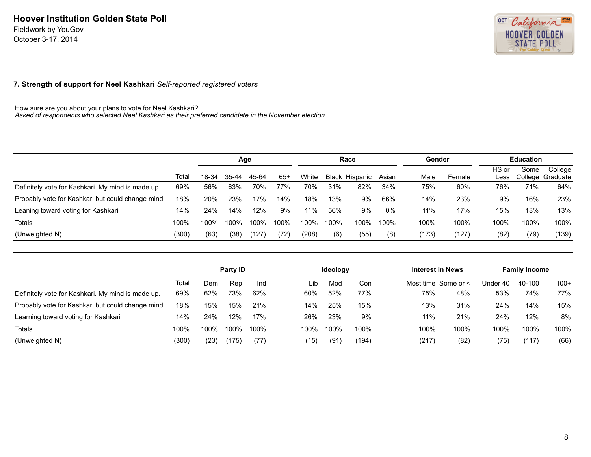Fieldwork by YouGov October 3-17, 2014



#### **7. Strength of support for Neel Kashkari** *Self-reported registered voters*

How sure are you about your plans to vote for Neel Kashkari?

*Asked of respondents who selected Neel Kashkari as their preferred candidate in the November election*

|                                                   |       |       | Age   |       |       |       |      | Race                  |       | Gender |        |               | <b>Education</b> |                             |
|---------------------------------------------------|-------|-------|-------|-------|-------|-------|------|-----------------------|-------|--------|--------|---------------|------------------|-----------------------------|
|                                                   | Total | 18-34 | 35-44 | 45-64 | $65+$ | White |      | <b>Black Hispanic</b> | Asian | Male   | Female | HS or<br>Less | Some             | College<br>College Graduate |
| Definitely vote for Kashkari. My mind is made up. | 69%   | 56%   | 63%   | 70%   | 77%   | 70%   | 31%  | 82%                   | 34%   | 75%    | 60%    | 76%           | 71%              | 64%                         |
| Probably vote for Kashkari but could change mind  | 18%   | 20%   | 23%   | 17%   | 14%   | 18%   | 13%  | 9%                    | 66%   | 14%    | 23%    | 9%            | 16%              | 23%                         |
| Leaning toward voting for Kashkari                | 14%   | 24%   | 14%   | 12%   | 9%    | 11%   | 56%  | 9%                    | $0\%$ | 11%    | 17%    | 15%           | 13%              | 13%                         |
| Totals                                            | 100%  | 100%  | 100%  | 100%  | 100%  | 100%  | 100% | 100%                  | 100%  | 100%   | 100%   | 100%          | 100%             | 100%                        |
| (Unweighted N)                                    | (300) | (63)  | (38)  | 127)  | (72)  | (208) | (6)  | (55)                  | (8)   | (173)  | (127)  | (82)          | (79)             | (139)                       |

|                                                   |       |      | Party ID |      |      | <b>Ideology</b> |       |       | <b>Interest in News</b> |          | <b>Family Income</b> |        |
|---------------------------------------------------|-------|------|----------|------|------|-----------------|-------|-------|-------------------------|----------|----------------------|--------|
|                                                   | Total | Dem  | Rep      | Ind  | Lib  | Mod             | Con   |       | Most time Some or <     | Under 40 | 40-100               | $100+$ |
| Definitely vote for Kashkari. My mind is made up. | 69%   | 62%  | 73%      | 62%  | 60%  | 52%             | 77%   | 75%   | 48%                     | 53%      | 74%                  | 77%    |
| Probably vote for Kashkari but could change mind  | 18%   | 15%  | 15%      | 21%  | 14%  | 25%             | 15%   | 13%   | 31%                     | 24%      | 14%                  | 15%    |
| Learning toward voting for Kashkari               | 14%   | 24%  | 12%      | 17%  | 26%  | 23%             | 9%    | 11%   | 21%                     | 24%      | 12%                  | 8%     |
| Totals                                            | 100%  | 00%ا | 100%     | 100% | 100% | 100%            | 100%  | 100%  | 100%                    | 100%     | 100%                 | 100%   |
| (Unweighted N)                                    | (300) | (23) | .175)    | (77) | (15) | (91)            | (194) | (217) | (82)                    | (75)     | (117)                | (66)   |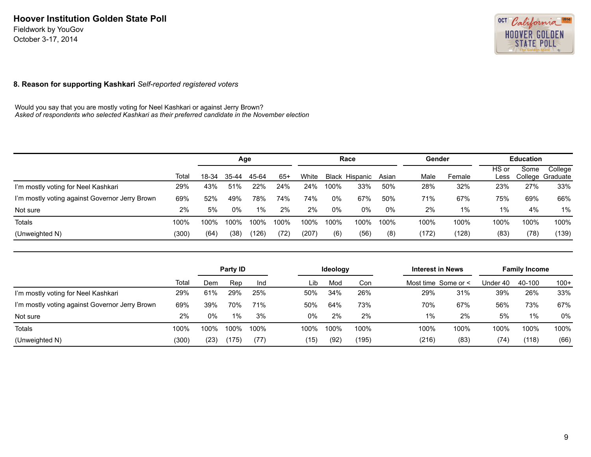

## **8. Reason for supporting Kashkari** *Self-reported registered voters*

Would you say that you are mostly voting for Neel Kashkari or against Jerry Brown? *Asked of respondents who selected Kashkari as their preferred candidate in the November election*

|                                                |       |       | Age   |       |      |       |       | Race           |       | Gender |        |               | <b>Education</b> |                             |
|------------------------------------------------|-------|-------|-------|-------|------|-------|-------|----------------|-------|--------|--------|---------------|------------------|-----------------------------|
|                                                | Total | 18-34 | 35-44 | 45-64 | 65+  | White |       | Black Hispanic | Asian | Male   | Female | HS or<br>Less | Some             | College<br>College Graduate |
| I'm mostly voting for Neel Kashkari            | 29%   | 43%   | 51%   | 22%   | 24%  | 24%   | 100%  | 33%            | 50%   | 28%    | 32%    | 23%           | 27%              | 33%                         |
| I'm mostly voting against Governor Jerry Brown | 69%   | 52%   | 49%   | 78%   | 74%  | 74%   | $0\%$ | 67%            | 50%   | 71%    | 67%    | 75%           | 69%              | 66%                         |
| Not sure                                       | 2%    | 5%    | 0%    | 1%    | 2%   | 2%    | $0\%$ | 0%             | 0%    | 2%     | $1\%$  | 1%            | 4%               | 1%                          |
| <b>Totals</b>                                  | 100%  | 100%  | 100%  | 100%  | 100% | 100%  | 100%  | 100%           | 100%  | 100%   | 100%   | 100%          | 100%             | 100%                        |
| (Unweighted N)                                 | (300) | (64)  | (38)  | 126)  | ′72) | (207) | (6)   | (56)           | (8)   | (172)  | (128)  | (83)          | (78)             | (139)                       |

|                                                |       |       | Party ID |      |       | Ideology |       |       | <b>Interest in News</b> |          | <b>Family Income</b> |      |
|------------------------------------------------|-------|-------|----------|------|-------|----------|-------|-------|-------------------------|----------|----------------------|------|
|                                                | Total | Dem   | Rep      | Ind  | ∟ib   | Mod      | Con   |       | Most time Some or <     | Under 40 | 40-100               | 100+ |
| I'm mostly voting for Neel Kashkari            | 29%   | 61%   | 29%      | 25%  | 50%   | 34%      | 26%   | 29%   | 31%                     | 39%      | 26%                  | 33%  |
| I'm mostly voting against Governor Jerry Brown | 69%   | 39%   | 70%      | 71%  | 50%   | 64%      | 73%   | 70%   | 67%                     | 56%      | 73%                  | 67%  |
| Not sure                                       | 2%    | $0\%$ | 1%       | 3%   | $0\%$ | 2%       | 2%    | 1%    | 2%                      | 5%       | $1\%$                | 0%   |
| <b>Totals</b>                                  | 100%  | 100%  | 100%     | 100% | 100%  | 100%     | 100%  | 100%  | 100%                    | 100%     | 100%                 | 100% |
| (Unweighted N)                                 | (300) | (23)  | (175     | (77) | (15)  | (92)     | (195) | (216) | (83)                    | (74)     | (118)                | (66) |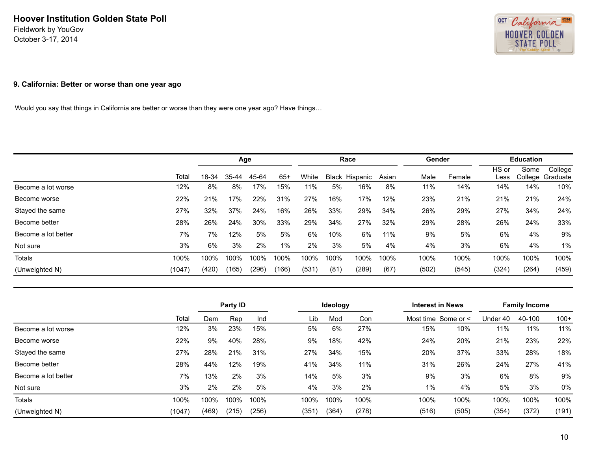

#### **9. California: Better or worse than one year ago**

Would you say that things in California are better or worse than they were one year ago? Have things…

|                     |        |       |       | Age   |       |       |      | Race                  |       | Gender |        |               | <b>Education</b> |                             |
|---------------------|--------|-------|-------|-------|-------|-------|------|-----------------------|-------|--------|--------|---------------|------------------|-----------------------------|
|                     | Total  | 18-34 | 35-44 | 45-64 | $65+$ | White |      | <b>Black Hispanic</b> | Asian | Male   | Female | HS or<br>Less | Some             | College<br>College Graduate |
| Become a lot worse  | 12%    | 8%    | 8%    | 17%   | 15%   | 11%   | 5%   | 16%                   | 8%    | 11%    | 14%    | 14%           | 14%              | 10%                         |
| Become worse        | 22%    | 21%   | 17%   | 22%   | 31%   | 27%   | 16%  | 17%                   | 12%   | 23%    | 21%    | 21%           | 21%              | 24%                         |
| Stayed the same     | 27%    | 32%   | 37%   | 24%   | 16%   | 26%   | 33%  | 29%                   | 34%   | 26%    | 29%    | 27%           | 34%              | 24%                         |
| Become better       | 28%    | 26%   | 24%   | 30%   | 33%   | 29%   | 34%  | 27%                   | 32%   | 29%    | 28%    | 26%           | 24%              | 33%                         |
| Become a lot better | 7%     | 7%    | 12%   | 5%    | 5%    | 6%    | 10%  | 6%                    | 11%   | 9%     | 5%     | 6%            | 4%               | 9%                          |
| Not sure            | 3%     | 6%    | 3%    | 2%    | $1\%$ | 2%    | 3%   | 5%                    | 4%    | 4%     | 3%     | 6%            | 4%               | 1%                          |
| <b>Totals</b>       | 100%   | 100%  | 100%  | 100%  | 100%  | 100%  | 100% | 100%                  | 100%  | 100%   | 100%   | 100%          | 100%             | 100%                        |
| (Unweighted N)      | (1047) | (420) | 165)  | (296) | (166) | (531) | (81) | (289)                 | (67)  | (502)  | (545)  | (324)         | (264)            | (459)                       |

|                     |        |       | Party ID |       |       | <b>Ideology</b> |       |       | <b>Interest in News</b> |          | <b>Family Income</b> |        |
|---------------------|--------|-------|----------|-------|-------|-----------------|-------|-------|-------------------------|----------|----------------------|--------|
|                     | Total  | Dem   | Rep      | Ind   | Lib   | Mod             | Con   |       | Most time Some or <     | Under 40 | 40-100               | $100+$ |
| Become a lot worse  | 12%    | 3%    | 23%      | 15%   | 5%    | 6%              | 27%   | 15%   | 10%                     | 11%      | 11%                  | 11%    |
| Become worse        | 22%    | 9%    | 40%      | 28%   | 9%    | 18%             | 42%   | 24%   | 20%                     | 21%      | 23%                  | 22%    |
| Stayed the same     | 27%    | 28%   | 21%      | 31%   | 27%   | 34%             | 15%   | 20%   | 37%                     | 33%      | 28%                  | 18%    |
| Become better       | 28%    | 44%   | 12%      | 19%   | 41%   | 34%             | 11%   | 31%   | 26%                     | 24%      | 27%                  | 41%    |
| Become a lot better | 7%     | 13%   | 2%       | 3%    | 14%   | 5%              | 3%    | 9%    | 3%                      | 6%       | 8%                   | 9%     |
| Not sure            | 3%     | 2%    | 2%       | 5%    | 4%    | 3%              | 2%    | 1%    | 4%                      | 5%       | 3%                   | $0\%$  |
| <b>Totals</b>       | 100%   | 100%  | 100%     | 100%  | 100%  | 100%            | 100%  | 100%  | 100%                    | 100%     | 100%                 | 100%   |
| (Unweighted N)      | (1047) | (469) | (215)    | (256) | (351) | (364)           | (278) | (516) | (505)                   | (354)    | (372)                | (191)  |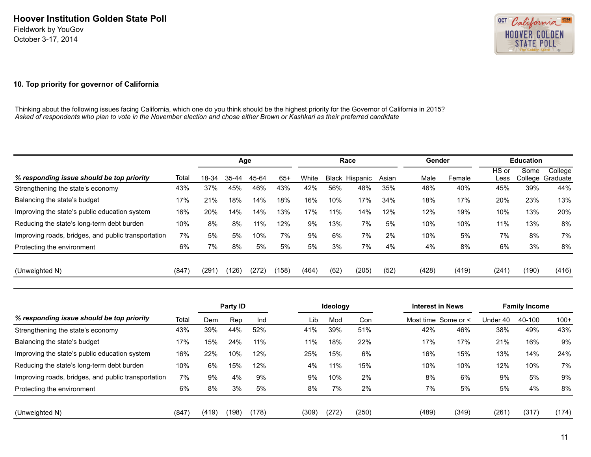

## **10. Top priority for governor of California**

Thinking about the following issues facing California, which one do you think should be the highest priority for the Governor of California in 2015? *Asked of respondents who plan to vote in the November election and chose either Brown or Kashkari as their preferred candidate*

|                                                     |       |       |       | Age   |       |       |      | Race                  |       | Gender |        |               | <b>Education</b> |                             |
|-----------------------------------------------------|-------|-------|-------|-------|-------|-------|------|-----------------------|-------|--------|--------|---------------|------------------|-----------------------------|
| % responding issue should be top priority           | Total | 18-34 | 35-44 | 45-64 | $65+$ | White |      | <b>Black Hispanic</b> | Asian | Male   | Female | HS or<br>Less | Some             | College<br>College Graduate |
| Strengthening the state's economy                   | 43%   | 37%   | 45%   | 46%   | 43%   | 42%   | 56%  | 48%                   | 35%   | 46%    | 40%    | 45%           | 39%              | 44%                         |
| Balancing the state's budget                        | 17%   | 21%   | 18%   | 14%   | 18%   | 16%   | 10%  | 17%                   | 34%   | 18%    | 17%    | 20%           | 23%              | 13%                         |
| Improving the state's public education system       | 16%   | 20%   | 14%   | 14%   | 13%   | 17%   | 11%  | 14%                   | 12%   | 12%    | 19%    | 10%           | 13%              | 20%                         |
| Reducing the state's long-term debt burden          | 10%   | 8%    | 8%    | 11%   | 12%   | 9%    | 13%  | 7%                    | 5%    | 10%    | 10%    | 11%           | 13%              | 8%                          |
| Improving roads, bridges, and public transportation | 7%    | 5%    | 5%    | 10%   | 7%    | 9%    | 6%   | 7%                    | 2%    | 10%    | 5%     | 7%            | 8%               | 7%                          |
| Protecting the environment                          | 6%    | 7%    | 8%    | 5%    | 5%    | 5%    | 3%   | 7%                    | 4%    | 4%     | 8%     | 6%            | 3%               | 8%                          |
| (Unweighted N)                                      | (847) | (291  | 126)  | (272) | (158) | (464) | (62) | (205)                 | (52)  | (428)  | (419)  | (241)         | (190)            | (416)                       |

|                                                     |       |       | Party ID |       |       | Ideology |       | <b>Interest in News</b> |                     |          | <b>Family Income</b> |        |
|-----------------------------------------------------|-------|-------|----------|-------|-------|----------|-------|-------------------------|---------------------|----------|----------------------|--------|
| % responding issue should be top priority           | Total | Dem   | Rep      | Ind   | ∟ib   | Mod      | Con   |                         | Most time Some or < | Under 40 | 40-100               | $100+$ |
| Strengthening the state's economy                   | 43%   | 39%   | 44%      | 52%   | 41%   | 39%      | 51%   | 42%                     | 46%                 | 38%      | 49%                  | 43%    |
| Balancing the state's budget                        | 17%   | 15%   | 24%      | 11%   | 11%   | 18%      | 22%   | 17%                     | 17%                 | 21%      | 16%                  | 9%     |
| Improving the state's public education system       | 16%   | 22%   | 10%      | 12%   | 25%   | 15%      | 6%    | 16%                     | 15%                 | 13%      | 14%                  | 24%    |
| Reducing the state's long-term debt burden          | 10%   | 6%    | 15%      | 12%   | 4%    | 11%      | 15%   | 10%                     | 10%                 | 12%      | 10%                  | 7%     |
| Improving roads, bridges, and public transportation | 7%    | 9%    | 4%       | 9%    | 9%    | 10%      | 2%    | 8%                      | 6%                  | 9%       | 5%                   | 9%     |
| Protecting the environment                          | 6%    | 8%    | 3%       | 5%    | 8%    | 7%       | 2%    | 7%                      | 5%                  | 5%       | 4%                   | 8%     |
|                                                     |       |       |          |       |       |          |       |                         |                     |          |                      |        |
| (Unweighted N)                                      | (847) | (419) | ั198)    | (178) | (309) | (272)    | (250) | (489)                   | (349)               | (261)    | (317)                | (174)  |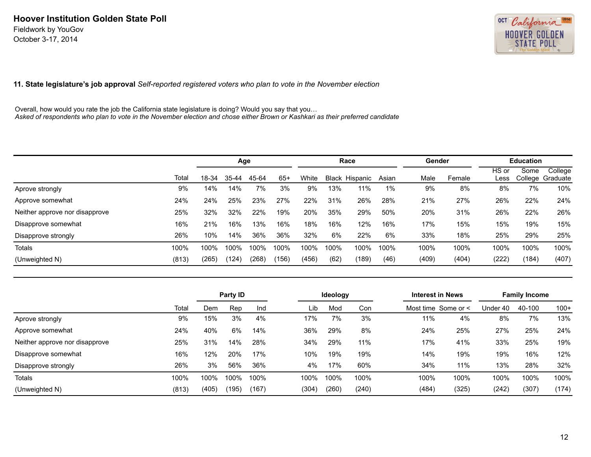

**11. State legislature's job approval** *Self-reported registered voters who plan to vote in the November election*

Overall, how would you rate the job the California state legislature is doing? Would you say that you… *Asked of respondents who plan to vote in the November election and chose either Brown or Kashkari as their preferred candidate*

|                                |       |       |       | Age   |       |       |      | Race                  |       | Gender |        |               | <b>Education</b> |                             |
|--------------------------------|-------|-------|-------|-------|-------|-------|------|-----------------------|-------|--------|--------|---------------|------------------|-----------------------------|
|                                | Total | 18-34 | 35-44 | 45-64 | 65+   | White |      | <b>Black Hispanic</b> | Asian | Male   | Female | HS or<br>Less | Some             | College<br>College Graduate |
| Aprove strongly                | 9%    | 14%   | 14%   | 7%    | 3%    | 9%    | 13%  | 11%                   | 1%    | 9%     | 8%     | 8%            | 7%               | 10%                         |
| Approve somewhat               | 24%   | 24%   | 25%   | 23%   | 27%   | 22%   | 31%  | 26%                   | 28%   | 21%    | 27%    | 26%           | 22%              | 24%                         |
| Neither approve nor disapprove | 25%   | 32%   | 32%   | 22%   | 19%   | 20%   | 35%  | 29%                   | 50%   | 20%    | 31%    | 26%           | 22%              | 26%                         |
| Disapprove somewhat            | 16%   | 21%   | 16%   | 13%   | 16%   | 18%   | 16%  | 12%                   | 16%   | 17%    | 15%    | 15%           | 19%              | 15%                         |
| Disapprove strongly            | 26%   | 10%   | 14%   | 36%   | 36%   | 32%   | 6%   | 22%                   | 6%    | 33%    | 18%    | 25%           | 29%              | 25%                         |
| <b>Totals</b>                  | 100%  | 100%  | 100%  | 100%  | 100%  | 100%  | 100% | 100%                  | 100%  | 100%   | 100%   | 100%          | 100%             | 100%                        |
| (Unweighted N)                 | (813) | (265) | 124)  | (268) | (156) | (456) | (62) | (189)                 | (46)  | (409)  | (404)  | (222)         | (184)            | (407)                       |

|                                |       |       | Party ID |       |       | <b>Ideology</b> |       | <b>Interest in News</b> |       |          | <b>Family Income</b> |        |
|--------------------------------|-------|-------|----------|-------|-------|-----------------|-------|-------------------------|-------|----------|----------------------|--------|
|                                | Total | Dem   | Rep      | Ind   | Lib   | Mod             | Con   | Most time Some or <     |       | Under 40 | 40-100               | $100+$ |
| Aprove strongly                | 9%    | 15%   | 3%       | 4%    | 17%   | 7%              | 3%    | 11%                     | 4%    | 8%       | 7%                   | 13%    |
| Approve somewhat               | 24%   | 40%   | 6%       | 14%   | 36%   | 29%             | 8%    | 24%                     | 25%   | 27%      | 25%                  | 24%    |
| Neither approve nor disapprove | 25%   | 31%   | 14%      | 28%   | 34%   | 29%             | 11%   | 17%                     | 41%   | 33%      | 25%                  | 19%    |
| Disapprove somewhat            | 16%   | 12%   | 20%      | 17%   | 10%   | 19%             | 19%   | 14%                     | 19%   | 19%      | 16%                  | 12%    |
| Disapprove strongly            | 26%   | 3%    | 56%      | 36%   | 4%    | 17%             | 60%   | 34%                     | 11%   | 13%      | 28%                  | 32%    |
| Totals                         | 100%  | 100%  | 100%     | 100%  | 100%  | 100%            | 100%  | 100%                    | 100%  | 100%     | 100%                 | 100%   |
| (Unweighted N)                 | (813) | (405) | 195      | (167) | (304) | (260)           | (240) | (484)                   | (325) | (242)    | (307)                | (174)  |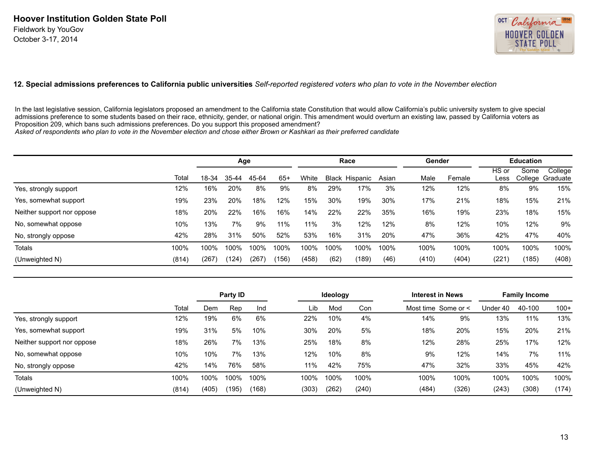

#### **12. Special admissions preferences to California public universities** *Self-reported registered voters who plan to vote in the November election*

In the last legislative session, California legislators proposed an amendment to the California state Constitution that would allow California's public university system to give special admissions preference to some students based on their race, ethnicity, gender, or national origin. This amendment would overturn an existing law, passed by California voters as Proposition 209, which bans such admissions preferences. Do you support this proposed amendment?

|                            |       |       | Age    |       |       |       |      | Race                  |       | Gender |        |               | <b>Education</b> |                             |
|----------------------------|-------|-------|--------|-------|-------|-------|------|-----------------------|-------|--------|--------|---------------|------------------|-----------------------------|
|                            | Total | 18-34 | 35-44  | 45-64 | 65+   | White |      | <b>Black Hispanic</b> | Asian | Male   | Female | HS or<br>Less | Some             | College<br>College Graduate |
| Yes, strongly support      | 12%   | 16%   | 20%    | 8%    | 9%    | 8%    | 29%  | 17%                   | 3%    | 12%    | 12%    | 8%            | 9%               | 15%                         |
| Yes, somewhat support      | 19%   | 23%   | 20%    | 18%   | 12%   | 15%   | 30%  | 19%                   | 30%   | 17%    | 21%    | 18%           | 15%              | 21%                         |
| Neither support nor oppose | 18%   | 20%   | 22%    | 16%   | 16%   | 14%   | 22%  | 22%                   | 35%   | 16%    | 19%    | 23%           | 18%              | 15%                         |
| No, somewhat oppose        | 10%   | 13%   | 7%     | 9%    | 11%   | 11%   | 3%   | 12%                   | 12%   | 8%     | 12%    | 10%           | 12%              | 9%                          |
| No, strongly oppose        | 42%   | 28%   | 31%    | 50%   | 52%   | 53%   | 16%  | 31%                   | 20%   | 47%    | 36%    | 42%           | 47%              | 40%                         |
| <b>Totals</b>              | 100%  | 100%  | $00\%$ | 100%  | 100%  | 100%  | 100% | 100%                  | 100%  | 100%   | 100%   | 100%          | 100%             | 100%                        |
| (Unweighted N)             | (814) | (267) | (124)  | (267) | (156) | (458) | (62) | (189)                 | (46)  | (410)  | (404)  | (221)         | (185)            | (408)                       |

|                            |       |       | Party ID |       |       | Ideology |       | <b>Interest in News</b> |       |          | <b>Family Income</b> |        |
|----------------------------|-------|-------|----------|-------|-------|----------|-------|-------------------------|-------|----------|----------------------|--------|
|                            | Total | Dem   | Rep      | Ind   | Lib   | Mod      | Con   | Most time Some or <     |       | Under 40 | 40-100               | $100+$ |
| Yes, strongly support      | 12%   | 19%   | 6%       | 6%    | 22%   | 10%      | 4%    | 14%                     | 9%    | 13%      | 11%                  | 13%    |
| Yes, somewhat support      | 19%   | 31%   | 5%       | 10%   | 30%   | 20%      | 5%    | 18%                     | 20%   | 15%      | 20%                  | 21%    |
| Neither support nor oppose | 18%   | 26%   | 7%       | 13%   | 25%   | 18%      | 8%    | 12%                     | 28%   | 25%      | 17%                  | 12%    |
| No, somewhat oppose        | 10%   | 10%   | 7%       | 13%   | 12%   | 10%      | 8%    | 9%                      | 12%   | 14%      | 7%                   | 11%    |
| No, strongly oppose        | 42%   | 14%   | 76%      | 58%   | 11%   | 42%      | 75%   | 47%                     | 32%   | 33%      | 45%                  | 42%    |
| <b>Totals</b>              | 100%  | 100%  | 100%     | 100%  | 100%  | 100%     | 100%  | 100%                    | 100%  | 100%     | 100%                 | 100%   |
| (Unweighted N)             | (814) | (405) | (195)    | (168) | (303) | (262)    | (240) | (484)                   | (326) | (243)    | (308)                | (174)  |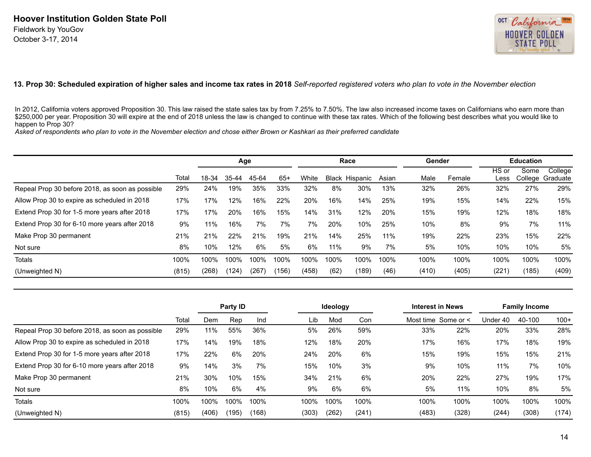Fieldwork by YouGov October 3-17, 2014



#### **13. Prop 30: Scheduled expiration of higher sales and income tax rates in 2018** *Self-reported registered voters who plan to vote in the November election*

In 2012, California voters approved Proposition 30. This law raised the state sales tax by from 7.25% to 7.50%. The law also increased income taxes on Californians who earn more than \$250,000 per year. Proposition 30 will expire at the end of 2018 unless the law is changed to continue with these tax rates. Which of the following best describes what you would like to happen to Prop 30?

|                                                 |       |       | Age   |       |       |       |            | Race                  |       | Gender |        |               | <b>Education</b> |                             |
|-------------------------------------------------|-------|-------|-------|-------|-------|-------|------------|-----------------------|-------|--------|--------|---------------|------------------|-----------------------------|
|                                                 | Total | 18-34 | 35-44 | 45-64 | $65+$ | White |            | <b>Black Hispanic</b> | Asian | Male   | Female | HS or<br>Less | Some             | College<br>College Graduate |
| Repeal Prop 30 before 2018, as soon as possible | 29%   | 24%   | 19%   | 35%   | 33%   | 32%   | 8%         | 30%                   | 13%   | 32%    | 26%    | 32%           | 27%              | 29%                         |
| Allow Prop 30 to expire as scheduled in 2018    | 17%   | 17%   | 12%   | 16%   | 22%   | 20%   | 16%        | 14%                   | 25%   | 19%    | 15%    | 14%           | 22%              | 15%                         |
| Extend Prop 30 for 1-5 more years after 2018    | 17%   | 17%   | 20%   | 16%   | 15%   | 14%   | 31%        | 12%                   | 20%   | 15%    | 19%    | 12%           | 18%              | 18%                         |
| Extend Prop 30 for 6-10 more years after 2018   | 9%    | 11%   | 16%   | 7%    | 7%    | 7%    | <b>20%</b> | 10%                   | 25%   | 10%    | 8%     | 9%            | 7%               | 11%                         |
| Make Prop 30 permanent                          | 21%   | 21%   | 22%   | 21%   | 19%   | 21%   | 14%        | 25%                   | 11%   | 19%    | 22%    | 23%           | 15%              | 22%                         |
| Not sure                                        | 8%    | 10%   | 12%   | 6%    | 5%    | 6%    | 11%        | 9%                    | 7%    | 5%     | 10%    | 10%           | 10%              | 5%                          |
| Totals                                          | 100%  | 100%  | 100%  | 100%  | 100%  | 100%  | 100%       | 100%                  | 100%  | 100%   | 100%   | 100%          | 100%             | 100%                        |
| (Unweighted N)                                  | (815) | (268) | 124)  | (267  | (156) | (458) | (62)       | (189)                 | (46)  | (410)  | (405)  | (221)         | (185)            | (409)                       |

|                                                 |       |       | Party ID |       |       | <b>Ideology</b> |       | <b>Interest in News</b> |                     |          | <b>Family Income</b> |        |
|-------------------------------------------------|-------|-------|----------|-------|-------|-----------------|-------|-------------------------|---------------------|----------|----------------------|--------|
|                                                 | Total | Dem   | Rep      | Ind   | ∟ib   | Mod             | Con   |                         | Most time Some or < | Under 40 | 40-100               | $100+$ |
| Repeal Prop 30 before 2018, as soon as possible | 29%   | 11%   | 55%      | 36%   | 5%    | 26%             | 59%   | 33%                     | 22%                 | 20%      | 33%                  | 28%    |
| Allow Prop 30 to expire as scheduled in 2018    | 17%   | 14%   | 19%      | 18%   | 12%   | 18%             | 20%   | 17%                     | 16%                 | 17%      | 18%                  | 19%    |
| Extend Prop 30 for 1-5 more years after 2018    | 17%   | 22%   | 6%       | 20%   | 24%   | 20%             | 6%    | 15%                     | 19%                 | 15%      | 15%                  | 21%    |
| Extend Prop 30 for 6-10 more years after 2018   | 9%    | 14%   | 3%       | 7%    | 15%   | 10%             | 3%    | 9%                      | 10%                 | 11%      | 7%                   | 10%    |
| Make Prop 30 permanent                          | 21%   | 30%   | 10%      | 15%   | 34%   | 21%             | 6%    | 20%                     | 22%                 | 27%      | 19%                  | 17%    |
| Not sure                                        | 8%    | 10%   | 6%       | 4%    | 9%    | 6%              | 6%    | 5%                      | 11%                 | 10%      | 8%                   | 5%     |
| <b>Totals</b>                                   | 100%  | 100%  | 100%     | 100%  | 100%  | 100%            | 100%  | 100%                    | 100%                | 100%     | 100%                 | 100%   |
| (Unweighted N)                                  | (815) | (406) | (195)    | (168) | (303) | (262)           | (241) | (483)                   | (328)               | (244)    | (308)                | (174)  |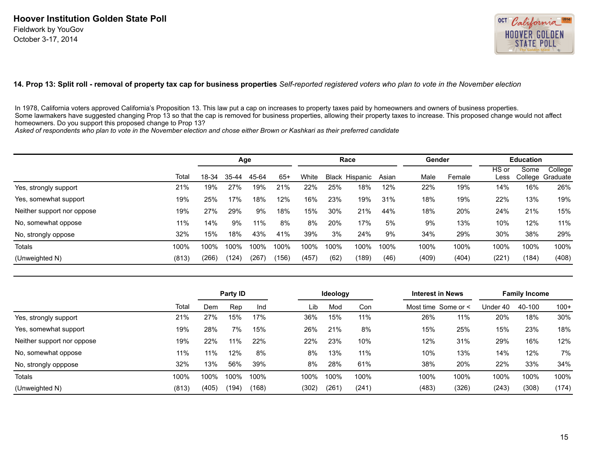

#### **14. Prop 13: Split roll - removal of property tax cap for business properties** *Self-reported registered voters who plan to vote in the November election*

In 1978, California voters approved California's Proposition 13. This law put a cap on increases to property taxes paid by homeowners and owners of business properties. Some lawmakers have suggested changing Prop 13 so that the cap is removed for business properties, allowing their property taxes to increase. This proposed change would not affect homeowners. Do you support this proposed change to Prop 13?

|                            |       |       | Age       |       |       |       |      | Race                  |       | Gender |        |               | <b>Education</b> |                             |
|----------------------------|-------|-------|-----------|-------|-------|-------|------|-----------------------|-------|--------|--------|---------------|------------------|-----------------------------|
|                            | Total | 18-34 | $35 - 44$ | 45-64 | 65+   | White |      | <b>Black Hispanic</b> | Asian | Male   | Female | HS or<br>Less | Some             | College<br>College Graduate |
| Yes, strongly support      | 21%   | 19%   | 27%       | 19%   | 21%   | 22%   | 25%  | 18%                   | 12%   | 22%    | 19%    | 14%           | 16%              | 26%                         |
| Yes, somewhat support      | 19%   | 25%   | 17%       | 18%   | 12%   | 16%   | 23%  | 19%                   | 31%   | 18%    | 19%    | 22%           | 13%              | 19%                         |
| Neither support nor oppose | 19%   | 27%   | 29%       | 9%    | 18%   | 15%   | 30%  | 21%                   | 44%   | 18%    | 20%    | 24%           | 21%              | 15%                         |
| No, somewhat oppose        | 11%   | 14%   | 9%        | 11%   | 8%    | 8%    | 20%  | 17%                   | 5%    | 9%     | 13%    | 10%           | 12%              | 11%                         |
| No, strongly oppose        | 32%   | 15%   | 18%       | 43%   | 41%   | 39%   | 3%   | 24%                   | 9%    | 34%    | 29%    | 30%           | 38%              | 29%                         |
| <b>Totals</b>              | 100%  | 100%  | 100%      | 100%  | 100%  | 100%  | 100% | 100%                  | 100%  | 100%   | 100%   | 100%          | 100%             | 100%                        |
| (Unweighted N)             | (813) | (266) | (124)     | (267) | (156) | (457) | (62) | (189)                 | (46)  | (409)  | (404)  | (221)         | (184)            | (408)                       |

|                            |       |       | Party ID |       |       | Ideology |       | <b>Interest in News</b> |       |          | <b>Family Income</b> |       |
|----------------------------|-------|-------|----------|-------|-------|----------|-------|-------------------------|-------|----------|----------------------|-------|
|                            | Total | Dem   | Rep      | Ind   | Lib   | Mod      | Con   | Most time Some or <     |       | Under 40 | 40-100               | 100+  |
| Yes, strongly support      | 21%   | 27%   | 15%      | 17%   | 36%   | 15%      | 11%   | 26%                     | 11%   | 20%      | 18%                  | 30%   |
| Yes, somewhat support      | 19%   | 28%   | 7%       | 15%   | 26%   | 21%      | 8%    | 15%                     | 25%   | 15%      | 23%                  | 18%   |
| Neither support nor oppose | 19%   | 22%   | 11%      | 22%   | 22%   | 23%      | 10%   | 12%                     | 31%   | 29%      | 16%                  | 12%   |
| No, somewhat oppose        | 11%   | 11%   | 12%      | 8%    | 8%    | 13%      | 11%   | 10%                     | 13%   | 14%      | 12%                  | 7%    |
| No, strongly opppose       | 32%   | 13%   | 56%      | 39%   | 8%    | 28%      | 61%   | 38%                     | 20%   | 22%      | 33%                  | 34%   |
| <b>Totals</b>              | 100%  | 100%  | 100%     | 100%  | 100%  | 100%     | 100%  | 100%                    | 100%  | 100%     | 100%                 | 100%  |
| (Unweighted N)             | (813) | (405) | (194     | (168) | (302) | (261)    | (241) | (483)                   | (326) | (243)    | (308)                | (174) |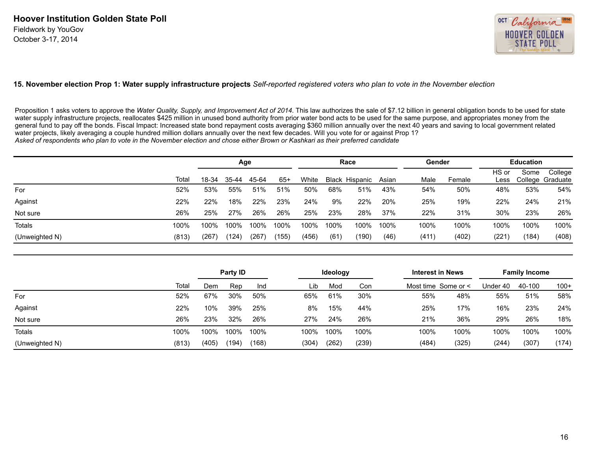

#### **15. November election Prop 1: Water supply infrastructure projects** *Self-reported registered voters who plan to vote in the November election*

Proposition 1 asks voters to approve the Water Quality, Supply, and Improvement Act of 2014. This law authorizes the sale of \$7.12 billion in general obligation bonds to be used for state water supply infrastructure projects, reallocates \$425 million in unused bond authority from prior water bond acts to be used for the same purpose, and appropriates money from the general fund to pay off the bonds. Fiscal Impact: Increased state bond repayment costs averaging \$360 million annually over the next 40 years and saving to local government related water projects, likely averaging a couple hundred million dollars annually over the next few decades. Will you vote for or against Prop 1? *Asked of respondents who plan to vote in the November election and chose either Brown or Kashkari as their preferred candidate*

|                |       |       | Age   |       |       |       |       | Race     |       | <b>Gender</b> |        |               | <b>Education</b> |                             |
|----------------|-------|-------|-------|-------|-------|-------|-------|----------|-------|---------------|--------|---------------|------------------|-----------------------------|
|                | Total | 18-34 | 35-44 | 45-64 | 65+   | White | Black | Hispanic | Asian | Male          | Female | HS or<br>Less | Some             | College<br>College Graduate |
| For            | 52%   | 53%   | 55%   | 51%   | 51%   | 50%   | 68%   | 51%      | 43%   | 54%           | 50%    | 48%           | 53%              | 54%                         |
| Against        | 22%   | 22%   | 18%   | 22%   | 23%   | 24%   | 9%    | 22%      | 20%   | 25%           | 19%    | 22%           | 24%              | 21%                         |
| Not sure       | 26%   | 25%   | 27%   | 26%   | 26%   | 25%   | 23%   | 28%      | 37%   | 22%           | 31%    | 30%           | 23%              | 26%                         |
| <b>Totals</b>  | 100%  | 100%  | 100%  | 100%  | 100%  | 100%  | 100%  | 100%     | 100%  | 100%          | 100%   | 100%          | 100%             | 100%                        |
| (Unweighted N) | (813) | (267) | 124)  | (267) | (155) | (456) | (61)  | (190)    | (46)  | (411)         | (402)  | (221          | (184)            | (408)                       |

|                |       |       | Party ID |       |       | Ideology |       |       | <b>Interest in News</b> |          | <b>Family Income</b> |       |
|----------------|-------|-------|----------|-------|-------|----------|-------|-------|-------------------------|----------|----------------------|-------|
|                | Total | Dem   | Rep      | Ind   | Lib   | Mod      | Con   |       | Most time Some or <     | Under 40 | 40-100               | 100+  |
| For            | 52%   | 67%   | 30%      | 50%   | 65%   | 61%      | 30%   | 55%   | 48%                     | 55%      | 51%                  | 58%   |
| Against        | 22%   | 10%   | 39%      | 25%   | 8%    | 15%      | 44%   | 25%   | 17%                     | 16%      | 23%                  | 24%   |
| Not sure       | 26%   | 23%   | 32%      | 26%   | 27%   | 24%      | 26%   | 21%   | 36%                     | 29%      | 26%                  | 18%   |
| Totals         | 100%  | 100%  | 100%     | 100%  | 100%  | 100%     | 100%  | 100%  | 100%                    | 100%     | 100%                 | 100%  |
| (Unweighted N) | (813) | (405) | 194)     | (168) | (304) | (262)    | (239) | (484) | (325)                   | (244)    | (307)                | (174) |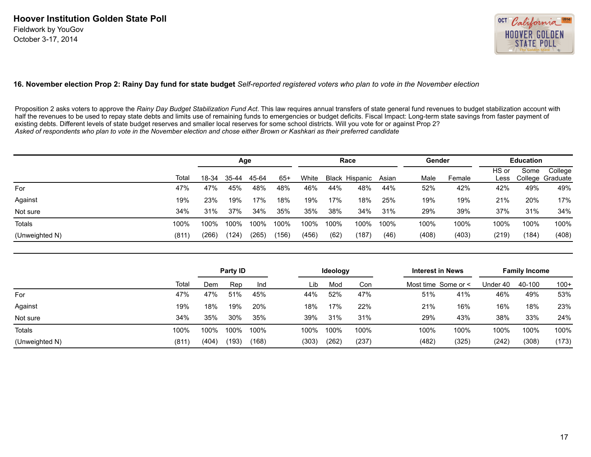

#### **16. November election Prop 2: Rainy Day fund for state budget** *Self-reported registered voters who plan to vote in the November election*

Proposition 2 asks voters to approve the *Rainy Day Budget Stabilization Fund Act*. This law requires annual transfers of state general fund revenues to budget stabilization account with half the revenues to be used to repay state debts and limits use of remaining funds to emergencies or budget deficits. Fiscal Impact: Long-term state savings from faster payment of existing debts. Different levels of state budget reserves and smaller local reserves for some school districts. Will you vote for or against Prop 2? *Asked of respondents who plan to vote in the November election and chose either Brown or Kashkari as their preferred candidate*

|                |       |       | Age   |       |       |       |      | Race           |       | Gender |        |               | <b>Education</b> |                             |
|----------------|-------|-------|-------|-------|-------|-------|------|----------------|-------|--------|--------|---------------|------------------|-----------------------------|
|                | Total | 18-34 | 35-44 | 45-64 | 65+   | White |      | Black Hispanic | Asian | Male   | Female | HS or<br>Less | Some             | College<br>College Graduate |
| For            | 47%   | 47%   | 45%   | 48%   | 48%   | 46%   | 44%  | 48%            | 44%   | 52%    | 42%    | 42%           | 49%              | 49%                         |
| Against        | 19%   | 23%   | 19%   | 17%   | 18%   | 19%   | 17%  | 18%            | 25%   | 19%    | 19%    | 21%           | 20%              | 17%                         |
| Not sure       | 34%   | 31%   | 37%   | 34%   | 35%   | 35%   | 38%  | 34%            | 31%   | 29%    | 39%    | 37%           | 31%              | 34%                         |
| <b>Totals</b>  | 100%  | 100%  | 100%  | 100%  | 100%  | 100%  | 100% | 100%           | 100%  | 100%   | 100%   | 100%          | 100%             | 100%                        |
| (Unweighted N) | (811) | (266) | 124)  | (265) | (156) | (456) | (62) | (187)          | (46)  | (408)  | (403)  | (219)         | (184)            | (408)                       |

|                |       |       | Party ID |       |       | Ideology |       |       | <b>Interest in News</b> |          | <b>Family Income</b> |        |
|----------------|-------|-------|----------|-------|-------|----------|-------|-------|-------------------------|----------|----------------------|--------|
|                | Total | Dem   | Rep      | Ind   | Lib   | Mod      | Con   |       | Most time Some or <     | Under 40 | 40-100               | $100+$ |
| For            | 47%   | 47%   | 51%      | 45%   | 44%   | 52%      | 47%   | 51%   | 41%                     | 46%      | 49%                  | 53%    |
| Against        | 19%   | 18%   | 19%      | 20%   | 18%   | 17%      | 22%   | 21%   | 16%                     | 16%      | 18%                  | 23%    |
| Not sure       | 34%   | 35%   | 30%      | 35%   | 39%   | 31%      | 31%   | 29%   | 43%                     | 38%      | 33%                  | 24%    |
| <b>Totals</b>  | 100%  | 100%  | 100%     | 100%  | 100%  | 100%     | 100%  | 100%  | 100%                    | 100%     | 100%                 | 100%   |
| (Unweighted N) | (811) | (404) | 193)     | (168) | (303) | (262)    | (237) | (482) | (325)                   | (242)    | (308)                | (173)  |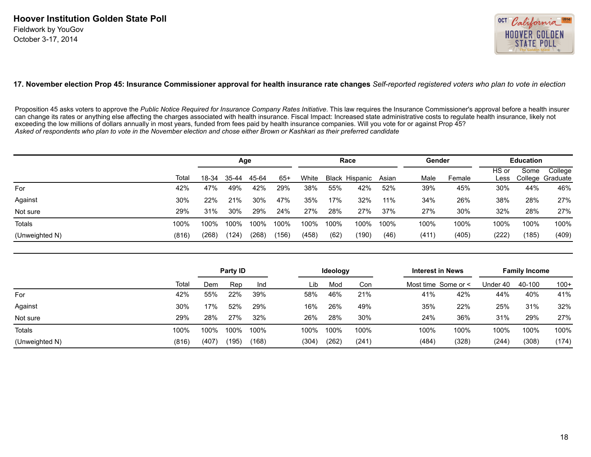

#### **17. November election Prop 45: Insurance Commissioner approval for health insurance rate changes** *Self-reported registered voters who plan to vote in election*

Proposition 45 asks voters to approve the *Public Notice Required for Insurance Company Rates Initiative*. This law requires the Insurance Commissioner's approval before a health insurer can change its rates or anything else affecting the charges associated with health insurance. Fiscal Impact: Increased state administrative costs to regulate health insurance, likely not exceeding the low millions of dollars annually in most years, funded from fees paid by health insurance companies. Will you vote for or against Prop 45? *Asked of respondents who plan to vote in the November election and chose either Brown or Kashkari as their preferred candidate*

|                |       |       | Age   |       |       |       |      | Race           |       | <b>Gender</b> |        |               | <b>Education</b> |                             |
|----------------|-------|-------|-------|-------|-------|-------|------|----------------|-------|---------------|--------|---------------|------------------|-----------------------------|
|                | Total | 18-34 | 35-44 | 45-64 | 65+   | White |      | Black Hispanic | Asian | Male          | Female | HS or<br>Less | Some             | College<br>College Graduate |
| For            | 42%   | 47%   | 49%   | 42%   | 29%   | 38%   | 55%  | 42%            | 52%   | 39%           | 45%    | 30%           | 44%              | 46%                         |
| Against        | 30%   | 22%   | 21%   | 30%   | 47%   | 35%   | 17%  | 32%            | 11%   | 34%           | 26%    | 38%           | 28%              | 27%                         |
| Not sure       | 29%   | 31%   | 30%   | 29%   | 24%   | 27%   | 28%  | 27%            | 37%   | 27%           | 30%    | 32%           | 28%              | 27%                         |
| Totals         | 100%  | 100%  | 100%  | 100%  | 100%  | 100%  | 100% | 100%           | 100%  | 100%          | 100%   | 100%          | 100%             | 100%                        |
| (Unweighted N) | (816) | (268) | 124)  | (268) | (156) | (458) | (62) | (190)          | (46)  | (411)         | (405)  | (222)         | (185)            | (409)                       |

|                |       |       | Party ID |       |       | Ideology |       |       | <b>Interest in News</b> |          | <b>Family Income</b> |        |
|----------------|-------|-------|----------|-------|-------|----------|-------|-------|-------------------------|----------|----------------------|--------|
|                | Total | Dem   | Rep      | Ind   | Lib   | Mod      | Con   |       | Most time Some or <     | Under 40 | 40-100               | $100+$ |
| For            | 42%   | 55%   | 22%      | 39%   | 58%   | 46%      | 21%   | 41%   | 42%                     | 44%      | 40%                  | 41%    |
| Against        | 30%   | 17%   | 52%      | 29%   | 16%   | 26%      | 49%   | 35%   | 22%                     | 25%      | 31%                  | 32%    |
| Not sure       | 29%   | 28%   | 27%      | 32%   | 26%   | 28%      | 30%   | 24%   | 36%                     | 31%      | 29%                  | 27%    |
| Totals         | 100%  | 100%  | 100%     | 100%  | 100%  | 100%     | 100%  | 100%  | 100%                    | 100%     | 100%                 | 100%   |
| (Unweighted N) | (816) | (407) | 195)     | (168) | (304) | (262)    | (241) | (484) | (328)                   | (244)    | (308)                | (174)  |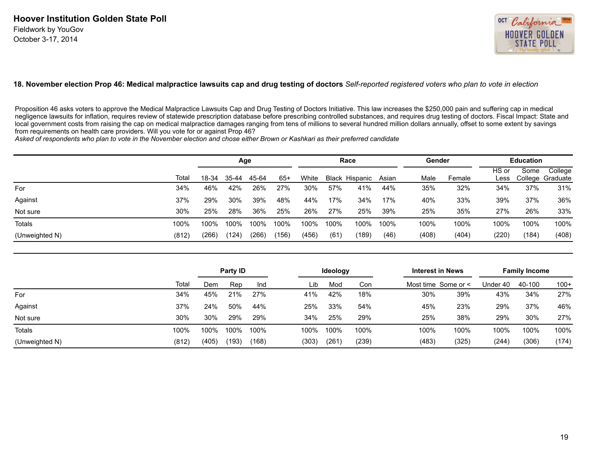

#### **18. November election Prop 46: Medical malpractice lawsuits cap and drug testing of doctors** *Self-reported registered voters who plan to vote in election*

Proposition 46 asks voters to approve the Medical Malpractice Lawsuits Cap and Drug Testing of Doctors Initiative. This law increases the \$250,000 pain and suffering cap in medical negligence lawsuits for inflation, requires review of statewide prescription database before prescribing controlled substances, and requires drug testing of doctors. Fiscal Impact: State and local government costs from raising the cap on medical malpractice damages ranging from tens of millions to several hundred million dollars annually, offset to some extent by savings from requirements on health care providers. Will you vote for or against Prop 46?

|                |       |       |       | Age   |       |       |      | Race           |       | <b>Gender</b> |        |               | <b>Education</b> |                             |
|----------------|-------|-------|-------|-------|-------|-------|------|----------------|-------|---------------|--------|---------------|------------------|-----------------------------|
|                | Total | 18-34 | 35-44 | 45-64 | $65+$ | White |      | Black Hispanic | Asian | Male          | Female | HS or<br>Less | Some             | College<br>College Graduate |
| For            | 34%   | 46%   | 42%   | 26%   | 27%   | 30%   | 57%  | 41%            | 44%   | 35%           | 32%    | 34%           | 37%              | 31%                         |
| Against        | 37%   | 29%   | 30%   | 39%   | 48%   | 44%   | 17%  | 34%            | 17%   | 40%           | 33%    | 39%           | 37%              | 36%                         |
| Not sure       | 30%   | 25%   | 28%   | 36%   | 25%   | 26%   | 27%  | 25%            | 39%   | 25%           | 35%    | 27%           | 26%              | 33%                         |
| Totals         | 100%  | 100%  | 100%  | 100%  | 100%  | 100%  | 100% | 100%           | 100%  | 100%          | 100%   | 100%          | 100%             | 100%                        |
| (Unweighted N) | (812) | (266) | (124) | (266) | (156) | (456) | (61) | (189)          | (46)  | (408)         | (404)  | (220)         | (184)            | (408)                       |

|                |       | Party ID |      |       |       | Ideology |       |       | <b>Interest in News</b> |          | <b>Family Income</b> |       |  |
|----------------|-------|----------|------|-------|-------|----------|-------|-------|-------------------------|----------|----------------------|-------|--|
|                | Total | Dem      | Rep  | Ind   | Lib   | Mod      | Con   |       | Most time Some or <     | Under 40 | 40-100               | 100+  |  |
| For            | 34%   | 45%      | 21%  | 27%   | 41%   | 42%      | 18%   | 30%   | 39%                     | 43%      | 34%                  | 27%   |  |
| Against        | 37%   | 24%      | 50%  | 44%   | 25%   | 33%      | 54%   | 45%   | 23%                     | 29%      | 37%                  | 46%   |  |
| Not sure       | 30%   | 30%      | 29%  | 29%   | 34%   | 25%      | 29%   | 25%   | 38%                     | 29%      | 30%                  | 27%   |  |
| <b>Totals</b>  | 100%  | 100%     | 100% | 100%  | 100%  | 100%     | 100%  | 100%  | 100%                    | 100%     | 100%                 | 100%  |  |
| (Unweighted N) | (812) | (405)    | 193) | (168) | (303) | (261)    | (239) | (483) | (325)                   | (244)    | (306)                | (174) |  |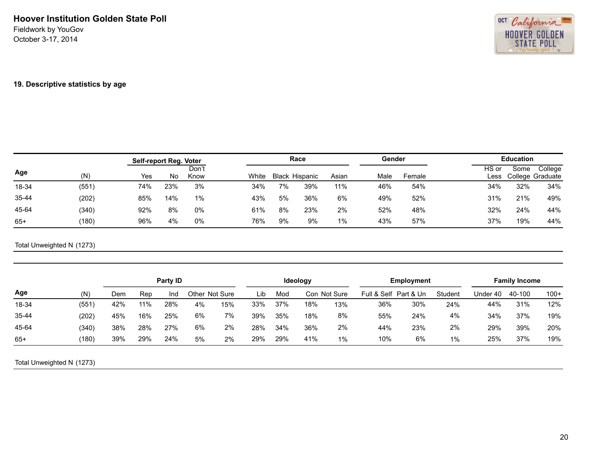

## **19. Descriptive statistics by age**

|       |       |     | Self-report Reg. Voter |               |       | Race |                |       |      | Gender |  | <b>Education</b> |      |                                  |
|-------|-------|-----|------------------------|---------------|-------|------|----------------|-------|------|--------|--|------------------|------|----------------------------------|
| Age   | (N)   | Yes | No                     | Don't<br>Know | White |      | Black Hispanic | Asian | Male | Female |  | HS or            | Some | College<br>Less College Graduate |
| 18-34 | (551) | 74% | 23%                    | 3%            | 34%   | 7%   | 39%            | 11%   | 46%  | 54%    |  | 34%              | 32%  | 34%                              |
| 35-44 | (202) | 85% | 14%                    | 1%            | 43%   | 5%   | 36%            | 6%    | 49%  | 52%    |  | 31%              | 21%  | 49%                              |
| 45-64 | (340) | 92% | 8%                     | 0%            | 61%   | 8%   | 23%            | 2%    | 52%  | 48%    |  | 32%              | 24%  | 44%                              |
| $65+$ | (180) | 96% | 4%                     | 0%            | 76%   | 9%   | 9%             | 1%    | 43%  | 57%    |  | 37%              | 19%  | 44%                              |

Total Unweighted N (1273)

|       |       | Party ID |     |     |    | <b>Ideology</b> |     |     |     | <b>Employment</b> |     |                       | <b>Family Income</b> |          |        |        |
|-------|-------|----------|-----|-----|----|-----------------|-----|-----|-----|-------------------|-----|-----------------------|----------------------|----------|--------|--------|
| Age   | (N)   | Dem      | Rep | Ind |    | Other Not Sure  | Lib | Mod |     | Con Not Sure      |     | Full & Self Part & Un | Student              | Under 40 | 40-100 | $100+$ |
| 18-34 | (551) | 42%      | 11% | 28% | 4% | 15%             | 33% | 37% | 18% | 13%               | 36% | 30%                   | 24%                  | 44%      | 31%    | 12%    |
| 35-44 | (202) | 45%      | 16% | 25% | 6% | 7%              | 39% | 35% | 18% | 8%                | 55% | 24%                   | 4%                   | 34%      | 37%    | 19%    |
| 45-64 | (340) | 38%      | 28% | 27% | 6% | 2%              | 28% | 34% | 36% | 2%                | 44% | 23%                   | 2%                   | 29%      | 39%    | 20%    |
| $65+$ | (180) | 39%      | 29% | 24% | 5% | 2%              | 29% | 29% | 41% | 1%                | 10% | 6%                    | 1%                   | 25%      | 37%    | 19%    |

Total Unweighted N (1273)